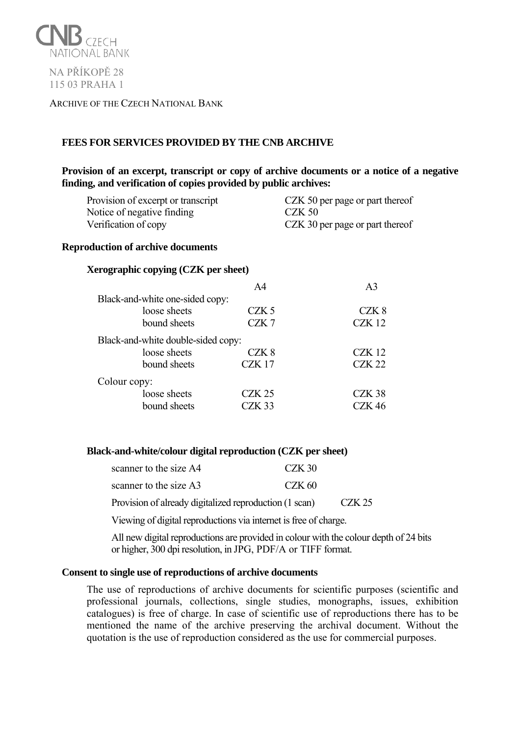

## ARCHIVE OF THE CZECH NATIONAL BANK

# **FEES FOR SERVICES PROVIDED BY THE CNB ARCHIVE**

# **Provision of an excerpt, transcript or copy of archive documents or a notice of a negative finding, and verification of copies provided by public archives:**

| Provision of excerpt or transcript | CZK 50 per page or part thereof |
|------------------------------------|---------------------------------|
| Notice of negative finding         | $CZK$ 50                        |
| Verification of copy               | CZK 30 per page or part thereof |

## **Reproduction of archive documents**

### **Xerographic copying (CZK per sheet)**

|                                    | A4                | A <sup>3</sup>    |
|------------------------------------|-------------------|-------------------|
| Black-and-white one-sided copy:    |                   |                   |
| loose sheets                       | CZK <sub>5</sub>  | CZK 8             |
| bound sheets                       | CZK7              | <b>CZK 12</b>     |
| Black-and-white double-sided copy: |                   |                   |
| loose sheets                       | CZK <sub>8</sub>  | CZK 12            |
| bound sheets                       | CZK <sub>17</sub> | <b>CZK 22</b>     |
| Colour copy:                       |                   |                   |
| loose sheets                       | $CZK$ 25          | CZK <sub>38</sub> |
| bound sheets                       | CZK <sub>33</sub> | <b>CZK 46</b>     |

### **Black-and-white/colour digital reproduction (CZK per sheet)**

| scanner to the size A4                                 | CZK 30 |        |
|--------------------------------------------------------|--------|--------|
| scanner to the size A3                                 | CZK 60 |        |
| Provision of already digitalized reproduction (1 scan) |        | CZK 25 |

Viewing of digital reproductions via internet is free of charge.

All new digital reproductions are provided in colour with the colour depth of 24 bits or higher, 300 dpi resolution, in JPG, PDF/A or TIFF format.

### **Consent to single use of reproductions of archive documents**

The use of reproductions of archive documents for scientific purposes (scientific and professional journals, collections, single studies, monographs, issues, exhibition catalogues) is free of charge. In case of scientific use of reproductions there has to be mentioned the name of the archive preserving the archival document. Without the quotation is the use of reproduction considered as the use for commercial purposes.